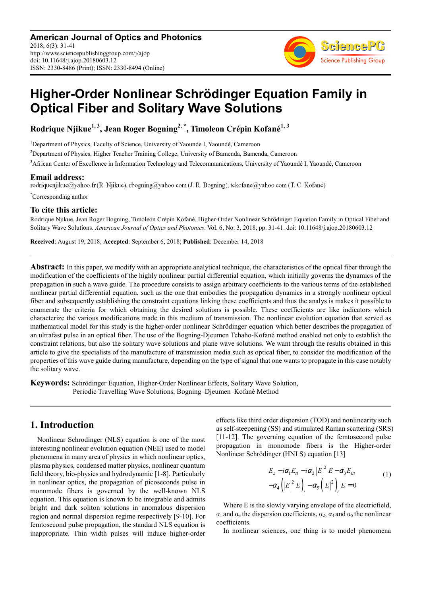

# **Higher-Order Nonlinear Schrödinger Equation Family in Optical Fiber and Solitary Wave Solutions**

**Rodrique Njikue1, 3, Jean Roger Bogning2, \*, Timoleon Crépin Kofané1, 3** 

<sup>1</sup>Department of Physics, Faculty of Science, University of Yaounde I, Yaoundé, Cameroon

<sup>2</sup>Department of Physics, Higher Teacher Training College, University of Bamenda, Bamenda, Cameroon

<sup>3</sup>African Center of Excellence in Information Technology and Telecommunications, University of Yaoundé I, Yaoundé, Cameroon

**Email address:**<br>rodriquenjikue@yahoo.fr(R. Njikue), rbogning@yahoo.com(J. R. Bogning), tckofane@yahoo.com(T. C. Kofané)

\*Corresponding author

#### **To cite this article:**

Rodrique Njikue, Jean Roger Bogning, Timoleon Crépin Kofané. Higher-Order Nonlinear Schrödinger Equation Family in Optical Fiber and Solitary Wave Solutions. *American Journal of Optics and Photonics*. Vol. 6, No. 3, 2018, pp. 31-41. doi: 10.11648/j.ajop.20180603.12

**Received**: August 19, 2018; **Accepted**: September 6, 2018; **Published**: December 14, 2018

**Abstract:** In this paper, we modify with an appropriate analytical technique, the characteristics of the optical fiber through the modification of the coefficients of the highly nonlinear partial differential equation, which initially governs the dynamics of the propagation in such a wave guide. The procedure consists to assign arbitrary coefficients to the various terms of the established nonlinear partial differential equation, such as the one that embodies the propagation dynamics in a strongly nonlinear optical fiber and subsequently establishing the constraint equations linking these coefficients and thus the analys is makes it possible to enumerate the criteria for which obtaining the desired solutions is possible. These coefficients are like indicators which characterize the various modifications made in this medium of transmission. The nonlinear evolution equation that served as mathematical model for this study is the higher-order nonlinear Schrödinger equation which better describes the propagation of an ultrafast pulse in an optical fiber. The use of the Bogning-Djeumen Tchaho-Kofané method enabled not only to establish the constraint relations, but also the solitary wave solutions and plane wave solutions. We want through the results obtained in this article to give the specialists of the manufacture of transmission media such as optical fiber, to consider the modification of the properties of this wave guide during manufacture, depending on the type of signal that one wants to propagate in this case notably the solitary wave.

**Keywords:** Schrödinger Equation, Higher-Order Nonlinear Effects, Solitary Wave Solution, Periodic Travelling Wave Solutions, Bogning–Djeumen–Kofané Method

### **1. Introduction**

Nonlinear Schrodinger (NLS) equation is one of the most interesting nonlinear evolution equation (NEE) used to model phenomena in many area of physics in which nonlinear optics, plasma physics, condensed matter physics, nonlinear quantum field theory, bio-physics and hydrodynamic [1-8]. Particularly in nonlinear optics, the propagation of picoseconds pulse in monomode fibers is governed by the well-known NLS equation. This equation is known to be integrable and admits bright and dark soliton solutions in anomalous dispersion region and normal dispersion regime respectively [9-10]. For femtosecond pulse propagation, the standard NLS equation is inappropriate. Thin width pulses will induce higher-order effects like third order dispersion (TOD) and nonlinearity such as self-steepening (SS) and stimulated Raman scattering (SRS) [11-12]. The governing equation of the femtosecond pulse propagation in monomode fibers is the Higher-order Nonlinear Schrödinger (HNLS) equation [13]

$$
E_z - i\alpha_1 E_{tt} - i\alpha_2 |E|^2 E - \alpha_3 E_{ttt}
$$
  

$$
-\alpha_4 (|E|^2 E)_t - \alpha_5 (|E|^2)_t E = 0
$$
 (1)

Where E is the slowly varying envelope of the electricfield,  $\alpha_1$  and  $\alpha_3$  the dispersion coefficients,  $\alpha_2$ ,  $\alpha_4$  and  $\alpha_5$  the nonlinear coefficients.

In nonlinear sciences, one thing is to model phenomena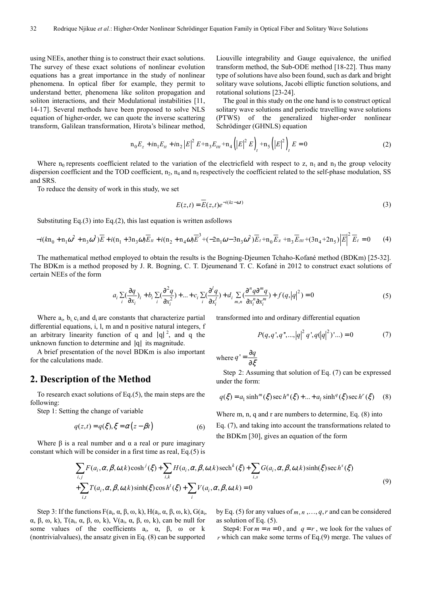using NEEs, another thing is to construct their exact solutions. The survey of these exact solutions of nonlinear evolution equations has a great importance in the study of nonlinear phenomena. In optical fiber for example, they permit to understand better, phenomena like soliton propagation and soliton interactions, and their Modulational instabilities [11, 14-17]. Several methods have been proposed to solve NLS equation of higher-order, we can quote the inverse scattering transform, Galilean transformation, Hirota's bilinear method,

Liouville integrability and Gauge equivalence, the unified transform method, the Sub-ODE method [18-22]. Thus many type of solutions have also been found, such as dark and bright solitary wave solutions, Jacobi elliptic function solutions, and rotational solutions [23-24].

The goal in this study on the one hand is to construct optical solitary wave solutions and periodic travelling wave solutions (PTWS) of the generalized higher-order nonlinear Schrödinger (GHNLS) equation

$$
n_0 E_z + i n_1 E_{tt} + i n_2 |E|^2 E + n_3 E_{tt} + n_4 (|E|^2 E)_t + n_5 (|E|^2)_t E = 0
$$
 (2)

Where  $n_0$  represents coefficient related to the variation of the electricfield with respect to z,  $n_1$  and  $n_3$  the group velocity dispersion coefficient and the TOD coefficient,  $n_2$ ,  $n_4$  and  $n_5$  respectively the coefficient related to the self-phase modulation, SS and SRS.

To reduce the density of work in this study, we set

$$
E(z,t) = \overline{E}(z,t)e^{-i(kz - \omega t)}
$$
\n(3)

Substituting Eq.(3) into Eq.(2), this last equation is written asfollows

$$
-i(kn_0 + n_1\omega^2 + n_3\omega^3)\overline{E} + i(n_1 + 3n_3\omega)\overline{E}_t + i(n_2 + n_4\omega)\overline{E}^3 + (-2n_1\omega - 3n_3\omega^2)\overline{E}_t + n_0\overline{E}_z + n_3\overline{E}_{tt} + (3n_4 + 2n_5)\overline{E}\Big|^2\overline{E}_t = 0
$$
 (4)

The mathematical method employed to obtain the results is the Bogning-Djeumen Tchaho-Kofané method (BDKm) [25-32]. The BDKm is a method proposed by J. R. Bogning, C. T. Djeumenand T. C. Kofané in 2012 to construct exact solutions of certain NEEs of the form

$$
a_i \sum_{i} \left(\frac{\partial q}{\partial x_i}\right)_i + b_i \sum_{i} \left(\frac{\partial^2 q}{\partial x_i^2}\right) + \dots + c_i \sum_{i} \left(\frac{\partial^i q}{\partial x_i^i}\right)_i + d_i \sum_{m,n} \left(\frac{\partial^n q \partial^m q}{\partial x_i^n \partial x_i^m}\right)_i + f(q, |q|^2) = 0
$$
\n<sup>(5)</sup>

Where  $a_i$ ,  $b_i$ ,  $c_i$  and  $d_i$  are constants that characterize partial differential equations, i, l, m and n positive natural integers, f an arbitrary linearity function of q and  $|q|^2$ , and q the unknown function to determine and |q| its magnitude.

A brief presentation of the novel BDKm is also important for the calculations made.

#### **2. Description of the Method**

To research exact solutions of Eq.(5), the main steps are the following:

Step 1: Setting the change of variable

$$
q(z,t) = q(\xi), \xi = \alpha(z - \beta t)
$$
 (6)

Where  $\beta$  is a real number and  $\alpha$  a real or pure imaginary constant which will be consider in a first time as real, Eq.(5) is transformed into and ordinary differential equation

$$
P(q, q', q", \ldots, |q|^2 |q', q(|q|^2) \ldots) = 0 \tag{7}
$$

where 
$$
q' = \frac{\partial q}{\partial \xi}
$$

Step 2: Assuming that solution of Eq. (7) can be expressed under the form:

$$
q(\xi) = a_1 \sinh^{m}(\xi) \sec h^{n}(\xi) + ... + a_l \sinh^{q}(\xi) \sec h^{r}(\xi)
$$
 (8)

Where m, n, q and r are numbers to determine, Eq. (8) into Eq. (7), and taking into account the transformations related to the BDKm [30], gives an equation of the form

$$
\sum_{i,j} F(a_i, \alpha, \beta, \omega, k) \cosh^j(\xi) + \sum_{i,k} H(a_i, \alpha, \beta, \omega, k) \operatorname{sech}^k(\xi) + \sum_{i,s} G(a_i, \alpha, \beta, \omega, k) \sinh(\xi) \operatorname{sec} h^s(\xi)
$$
  
+
$$
\sum_{i,t} T(a_i, \alpha, \beta, \omega, k) \sinh(\xi) \cos h^t(\xi) + \sum_i V(a_i, \alpha, \beta, \omega, k) = 0
$$
 (9)

Step 3: If the functions  $F(a_i, \alpha, \beta, \omega, k)$ ,  $H(a_i, \alpha, \beta, \omega, k)$ ,  $G(a_i, \alpha, \beta, \omega, k)$  $\alpha$ ,  $\beta$ ,  $\omega$ ,  $k$ ),  $T(a_i, \alpha, \beta, \omega, k)$ ,  $V(a_i, \alpha, \beta, \omega, k)$ , can be null for some values of the coefficients  $a_i$ ,  $\alpha$ ,  $\beta$ ,  $\omega$  or k (nontrivialvalues), the ansatz given in Eq. (8) can be supported

by Eq. (5) for any values of  $m, n, ..., q, r$  and can be considered as solution of Eq. (5).

Step4: For  $m = n = 0$ , and  $q = r$ , we look for the values of *r* which can make some terms of Eq.(9) merge. The values of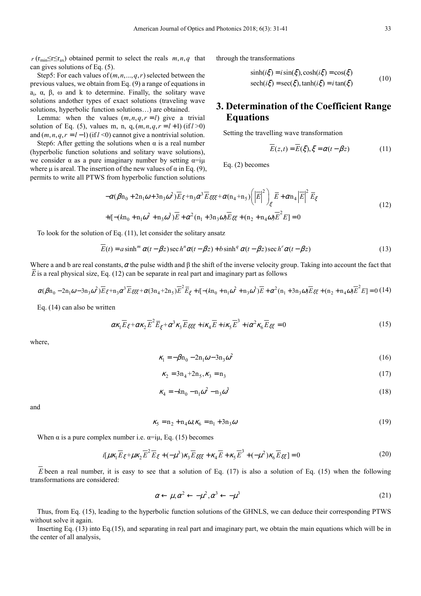$r$  ( $r_{min} \leq r \leq r_{av}$ ) obtained permit to select the reals  $m, n, q$  that can gives solutions of Eq. (5).

Step5: For each values of  $(m, n, ..., q, r)$  selected between the previous values, we obtain from Eq. (9) a range of equations in  $a_i$ ,  $\alpha$ ,  $\beta$ ,  $\omega$  and k to determine. Finally, the solitary wave solutions andother types of exact solutions (traveling wave solutions, hyperbolic function solutions…) are obtained.

Lemma: when the values  $(m, n, q, r = l)$  give a trivial solution of Eq. (5), values m, n, q,  $(m, n, q, r = l + 1)$  (if  $l > 0$ ) and  $(m, n, q, r = l - 1)$  (if  $l < 0$ ) cannot give a nontrivial solution.

Step6: After getting the solutions when  $\alpha$  is a real number (hyperbolic function solutions and solitary wave solutions), we consider  $\alpha$  as a pure imaginary number by setting  $\alpha = i\mu$ where  $\mu$  is areal. The insertion of the new values of  $\alpha$  in Eq. (9), permits to write all PTWS from hyperbolic function solutions

through the transformations

$$
\sinh(i\xi) = i\sin(\xi), \cosh(i\xi) = \cos(\xi)
$$
  
\n
$$
\operatorname{sech}(i\xi) = \operatorname{sec}(\xi), \tanh(i\xi) = i\tan(\xi)
$$
 (10)

## **3. Determination of the Coefficient Range Equations**

Setting the travelling wave transformation

$$
E(z,t) = E(\xi), \xi = \alpha(t - \beta z)
$$
 (11)

Eq. (2) becomes

$$
-\alpha(\beta n_0 + 2n_1\omega + 3n_3\omega^2)\overline{E}_{\xi} + n_3\alpha^3 \overline{E}_{\xi\xi\xi} + \alpha(n_4 + n_5)\left(\left|\overline{E}\right|^2\right)_{\xi} \overline{E} + \alpha n_4\left|\overline{E}\right|^2 \overline{E}_{\xi}
$$
  
+*i*[-(*k*n<sub>0</sub> + n<sub>1</sub> $\omega^2$  + n<sub>3</sub> $\omega^3$ ) $\overline{E} + \alpha^2(n_1 + 3n_3\omega)\overline{E}_{\xi\xi} + (n_2 + n_4\omega)\overline{E}^2 E] = 0$  (12)

To look for the solution of Eq. (11), let consider the solitary ansatz

$$
\overline{E}(t) = a \sinh^{m} \alpha (t - \beta z) \sec h^{n} \alpha (t - \beta z) + b \sinh^{q} \alpha (t - \beta z) \sec h^{r} \alpha (t - \beta z)
$$
\n(13)

Where a and b are real constants,  $\alpha$  the pulse width and  $\beta$  the shift of the inverse velocity group. Taking into account the fact that *E* is a real physical size, Eq. (12) can be separate in real part and imaginary part as follows

$$
\alpha(\beta n_0 - 2n_1\omega - 3n_3\omega^2)\overline{E}_{\xi} + n_3\alpha^3\overline{E}_{\xi\xi\xi} + \alpha(3n_4 + 2n_5)\overline{E}^2\overline{E}_{\xi} + i[-(kn_0 + n_1\omega^2 + n_3\omega^3)\overline{E} + \alpha^2(n_1 + 3n_3\omega)\overline{E}_{\xi\xi} + (n_2 + n_4\omega)\overline{E}^2E] = 0\tag{14}
$$

Eq. (14) can also be written

$$
\alpha \kappa_1 \overline{E}_{\xi} + \alpha \kappa_2 \overline{E}^2 \overline{E}_{\xi} + \alpha^3 \kappa_3 \overline{E}_{\xi \xi \xi} + i \kappa_4 \overline{E} + i \kappa_5 \overline{E}^3 + i \alpha^2 \kappa_6 \overline{E}_{\xi \xi} = 0 \tag{15}
$$

where,

$$
\kappa_1 = -\beta n_0 - 2n_1 \omega - 3n_3 \omega^2 \tag{16}
$$

$$
\kappa_2 = 3n_4 + 2n_5, \kappa_3 = n_3 \tag{17}
$$

$$
\kappa_4 = -k n_0 - n_1 \omega^2 - n_3 \omega^3 \tag{18}
$$

and

$$
\kappa_5 = n_2 + n_4 \omega, \kappa_6 = n_1 + 3n_3 \omega \tag{19}
$$

When  $\alpha$  is a pure complex number i.e.  $\alpha = i\mu$ , Eq. (15) becomes

$$
i[\mu\kappa_1 \overline{E}_{\xi} + \mu\kappa_2 \overline{E}^2 \overline{E}_{\xi} + (-\mu^3)\kappa_3 \overline{E}_{\xi\xi\xi} + \kappa_4 \overline{E} + \kappa_5 \overline{E}^3 + (-\mu^2)\kappa_6 \overline{E}_{\xi\xi}] = 0
$$
\n(20)

*E* been a real number, it is easy to see that a solution of Eq. (17) is also a solution of Eq. (15) when the following transformations are considered:

$$
\alpha \leftarrow \mu, \alpha^2 \leftarrow -\mu^2, \alpha^3 \leftarrow -\mu^3 \tag{21}
$$

Thus, from Eq. (15), leading to the hyperbolic function solutions of the GHNLS, we can deduce their corresponding PTWS without solve it again.

Inserting Eq. (13) into Eq.(15), and separating in real part and imaginary part, we obtain the main equations which will be in the center of all analysis,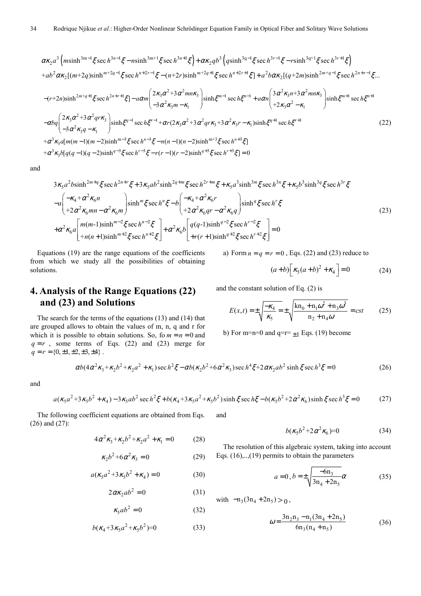$$
\alpha\kappa_{2}a^{3}\left(m\sinh^{3m-1}\xi\sec h^{3n-1}\xi-n\sinh^{3m+1}\xi\sec h^{3n+1}\xi\right)+\alpha\kappa_{2}qb^{3}\left(q\sinh^{3q-1}\xi\sec h^{3r-1}\xi-r\sinh^{3q+1}\xi\sec h^{3r+1}\xi\right)
$$
  
\n
$$
+ab^{2}\alpha\kappa_{2}[(m+2q)\sinh^{m+2q-1}\xi\sec h^{n+2r-1}\xi-(n+2r)\sinh^{m+2q+1}\xi\sec h^{n+2r+1}\xi]+a^{2}b\alpha\kappa_{2}[(q+2m)\sinh^{2m+q-1}\xi\sec h^{2n+r-1}\xi...]
$$
  
\n
$$
-(r+2n)\sinh^{2m+q+1}\xi\sec h^{2n+r+1}\xi]-a\alpha m\left(\frac{2\kappa_{3}\alpha^{2}+3\alpha^{2}mn\kappa_{3}}{-3\alpha^{2}\kappa_{3}m-\kappa_{1}}\right)\sinh\xi^{m-1}\sec h\xi^{n-1}+a\alpha n\left(\frac{3\alpha^{2}\kappa_{3}n+3\alpha^{2}mn\kappa_{3}}{+2\kappa_{3}\alpha^{2}-\kappa_{1}}\right)\sinh\xi^{m+1}\sec h\xi^{n+1}
$$
  
\n
$$
-\alpha bq\left(\frac{2\kappa_{3}\alpha^{2}+3\alpha^{2}qr\kappa_{3}}{-3\alpha^{2}\kappa_{3}q-\kappa_{1}}\right)\sinh\xi^{q-1}\sec h\xi^{r-1}+\alpha r(2\kappa_{3}\alpha^{2}+3\alpha^{2}qr\kappa_{3}+3\alpha^{2}\kappa_{3}r-\kappa_{1}\sinh\xi^{q+1}\sec h\xi^{r+1}
$$
  
\n
$$
+\alpha^{3}\kappa_{3}a[m(m-1)(m-2)\sinh^{m-3}\xi\sec h^{n-3}\xi-n(n-1)(n-2)\sinh^{m+3}\xi\sec h^{n+3}\xi]=0
$$
  
\n
$$
+\alpha^{3}\kappa_{3}b[q(q-1)(q-2)\sinh^{q-3}\xi\sec h^{r-3}\xi-r(r-1)(r-2)\sinh^{q+3}\xi\sec h^{r+3}\xi]=0
$$

and

$$
3\kappa_{5}a^{2}b\sinh^{2m+q}\xi\sec h^{2n+r}\xi + 3\kappa_{5}ab^{2}\sinh^{2q+m}\xi\sec h^{2r+m}\xi + \kappa_{5}a^{3}\sinh^{3m}\xi\sec h^{3n}\xi + \kappa_{5}b^{3}\sinh^{3q}\xi\sec h^{3r}\xi
$$
  
\n
$$
-a\left(\frac{-\kappa_{4}+\alpha^{2}\kappa_{6}n}{+2\alpha^{2}\kappa_{6}mn-\alpha^{2}\kappa_{6}m}\right)\sinh^{m}\xi\sec h^{n}\xi - b\left(\frac{-\kappa_{4}+\alpha^{2}\kappa_{6}r}{+2\alpha^{2}\kappa_{6}qr-\alpha^{2}\kappa_{6}q}\right)\sinh^{q}\xi\sec h^{r}\xi
$$
  
\n
$$
+a^{2}\kappa_{6}a\left[\frac{m(m-1)\sinh^{m-2}\xi\sec h^{n-2}\xi}{+n(n+1)\sinh^{m+2}\xi\sec h^{n+2}\xi}\right] + a^{2}\kappa_{6}b\left[q(q-1)\sinh^{q-2}\xi\sec h^{r-2}\xi\right] = 0
$$
  
\n(23)

Equations (19) are the range equations of the coefficients from which we study all the possibilities of obtaining solutions.

a) Form  $n = q = r = 0$ , Eqs. (22) and (23) reduce to

$$
(a+b)\left[\kappa_5(a+b)^2 + \kappa_4\right] = 0\tag{24}
$$

# **4. Analysis of the Range Equations (22) and (23) and Solutions**

The search for the terms of the equations (13) and (14) that are grouped allows to obtain the values of m, n, q and r for which it is possible to obtain solutions. So, fo  $m = n = 0$  and  $q = r$ , some terms of Eqs. (22) and (23) merge for  $q = r = \{0, \pm 1, \pm 2, \pm 3, \pm 4\}$ .

and the constant solution of Eq. (2) is

$$
E(x,t) = \pm \sqrt{\frac{-\kappa_4}{\kappa_5}} = \pm \sqrt{\frac{\text{kn}_0 + \text{n}_1 \omega^2 + \text{n}_3 \omega^3}{\text{n}_2 + \text{n}_4 \omega}} = cst
$$
 (25)

b) For m=n=0 and  $q=r=+1$  Eqs. (19) become

$$
\alpha b (4\alpha^2 \kappa_3 + \kappa_2 b^2 + \kappa_2 a^2 + \kappa_1) \sec h^2 \xi - \alpha b (\kappa_2 b^2 + 6\alpha^2 \kappa_3) \sec h^4 \xi + 2\alpha \kappa_2 a b^2 \sinh \xi \sec h^3 \xi = 0
$$
\n(26)

and

$$
a(\kappa_5 a^2 + 3\kappa_5 b^2 + \kappa_4) - 3\kappa_5 ab^2 \sec h^2 \xi + b(\kappa_4 + 3\kappa_5 a^2 + \kappa_5 b^2) \sinh \xi \sec h \xi - b(\kappa_5 b^2 + 2\alpha^2 \kappa_6) \sinh \xi \sec h^3 \xi = 0
$$
 (27)

The following coefficient equations are obtained from Eqs. (26) and (27):

$$
4\alpha^2 \kappa_3 + \kappa_2 b^2 + \kappa_2 a^2 + \kappa_1 = 0 \tag{28}
$$

$$
\kappa_2 b^2 + 6\alpha^2 \kappa_3 = 0 \tag{29}
$$

$$
a(\kappa_5 a^2 + 3\kappa_5 b^2 + \kappa_4) = 0 \tag{30}
$$

$$
2\alpha\kappa_2 ab^2 = 0\tag{31}
$$

$$
\kappa_5 ab^2 = 0 \tag{32}
$$

$$
b(\kappa_4 + 3\kappa_5 a^2 + \kappa_5 b^2) = 0 \tag{33}
$$

and

$$
b(\kappa_5 b^2 + 2\alpha^2 \kappa_6) = 0 \tag{34}
$$

The resolution of this algebraic system, taking into account Eqs.  $(16)$ ,... $(19)$  permits to obtain the parameters

$$
a = 0, b = \pm \sqrt{\frac{-6n_3}{3n_4 + 2n_5}} \alpha
$$
 (35)

with  $-n_3(3n_4 + 2n_5) > 0$ ,

$$
\omega = \frac{3n_2n_3 - n_1(3n_4 + 2n_5)}{6n_3(n_4 + n_5)}
$$
(36)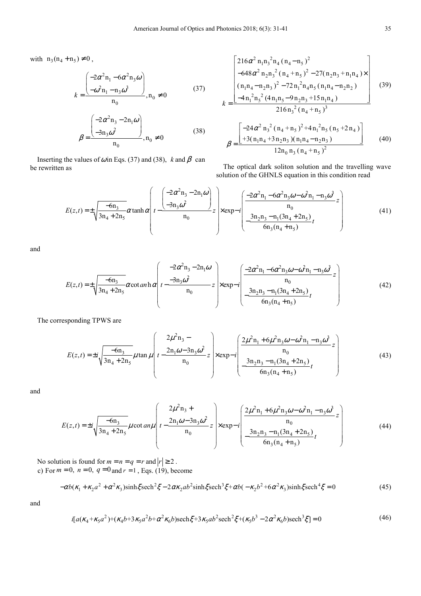with  $n_3(n_4 + n_5) \neq 0$ ,

$$
k = \frac{\begin{pmatrix} -2\alpha^2 n_1 - 6\alpha^2 n_3 \omega \\ -\omega^2 n_1 - n_3 \omega^3 \end{pmatrix}}{n_0}, n_0 \neq 0
$$
 (37)

$$
\beta = \frac{\begin{pmatrix} -2\alpha^2 n_3 - 2n_1 \omega \\ -3n_3 \omega^2 \end{pmatrix}}{n_0}, n_0 \neq 0
$$
\n(38)

Inserting the values of  $\omega$  in Eqs. (37) and (38),  $k$  and  $\beta$  can be rewritten as

$$
k = \frac{\left[216\alpha^{2} n_{1}n_{3}^{2}n_{4}(n_{4}-n_{5})^{2} -648\alpha^{2} n_{2}n_{3}^{2}(n_{4}+n_{5})^{2} -27(n_{2}n_{3}+n_{1}n_{4}) \times \left(n_{1}n_{4}-n_{2}n_{3})^{2} -72n_{1}^{2}n_{4}n_{5}(n_{1}n_{4}-n_{2}n_{2})\right]}{-(4n_{1}^{2}n_{5}^{2}(4n_{1}n_{5}-9n_{2}n_{3}+15n_{1}n_{4})}\right] (39)
$$
\n
$$
k = \frac{\left[-24\alpha^{2} n_{3}^{2}(n_{4}+n_{5})^{2} +4n_{1}^{2}n_{5}(n_{5}+2n_{4})\right]}{216n_{3}^{2}(n_{4}+n_{5})^{3}}
$$
\n
$$
\beta = \frac{\left[-24\alpha^{2} n_{3}^{2}(n_{4}+n_{5})^{2} +4n_{1}^{2}n_{5}(n_{5}+2n_{4})\right]}{12n_{0}n_{3}(n_{4}+n_{5})^{2}}
$$
\n(40)

The optical dark soliton solution and the travelling wave solution of the GHNLS equation in this condition read

$$
E(z,t) = \pm \sqrt{\frac{-6n_3}{3n_4 + 2n_5}} \alpha \tanh \alpha \left( t - \frac{\left( \frac{-2\alpha^2 n_3 - 2n_1 \omega}{-3n_3 \omega^2} \right)}{n_0} z \right) \times \exp(-i \left( \frac{\frac{-2\alpha^2 n_1 - 6\alpha^2 n_3 \omega - \omega^2 n_1 - n_3 \omega^3}{n_0} z}{6n_3(n_4 + n_5)} \right) \tag{41}
$$

and

$$
E(z,t) = \pm \sqrt{\frac{-6n_3}{3n_4 + 2n_5}} \alpha \cot \alpha n \ln \alpha \left( t - \frac{-2\alpha^2 n_3 - 2n_1 \omega}{n_0} z \right) \times \exp{-i \left( \frac{-2\alpha^2 n_1 - 6\alpha^2 n_3 \omega - \omega^2 n_1 - n_3 \omega^3}{n_0} z \right)}
$$
(42)

The corresponding TPWS are

$$
E(z,t) = \pm i \sqrt{\frac{-6n_3}{3n_4 + 2n_5}} \mu \tan \mu \left( t - \frac{2n_1 \omega - 3n_3 \omega^2}{n_0} z \right) \times \exp{-i \left( \frac{2\mu^2 n_1 + 6\mu^2 n_3 \omega - \omega^2 n_1 - n_3 \omega^3}{n_0} z \right)}
$$
(43)

and

$$
E(z,t) = \pm i \sqrt{\frac{-6n_3}{3n_4 + 2n_5}} \mu \cot an\mu \left( t - \frac{2n_1\omega - 3n_3\omega^2}{n_0} z \right) \times \exp(-i \left( \frac{2\mu^2 n_1 + 6\mu^2 n_3\omega - \omega^2 n_1 - n_3\omega^3}{n_0} z \right)
$$
(44)

No solution is found for  $m = n = q = r$  and  $|r| \ge 2$ . c) For  $m = 0$ ,  $n = 0$ ,  $q = 0$  and  $r = 1$ , Eqs. (19), become

$$
-\alpha b(\kappa_1 + \kappa_2 a^2 + \alpha^2 \kappa_3) \sinh \xi \operatorname{sech}^2 \xi - 2\alpha \kappa_2 ab^2 \sinh \xi \operatorname{sech}^3 \xi + \alpha b(-\kappa_2 b^2 + 6\alpha^2 \kappa_3) \sinh \xi \operatorname{sech}^4 \xi = 0 \tag{45}
$$

and

$$
i[a(\kappa_4 + \kappa_5 a^2) + (\kappa_4 b + 3 \kappa_5 a^2 b + \alpha^2 \kappa_6 b)\mathrm{sech}\xi + 3 \kappa_5 a b^2 \mathrm{sech}^2 \xi + (\kappa_5 b^3 - 2 \alpha^2 \kappa_6 b)\mathrm{sech}^3 \xi] = 0\tag{46}
$$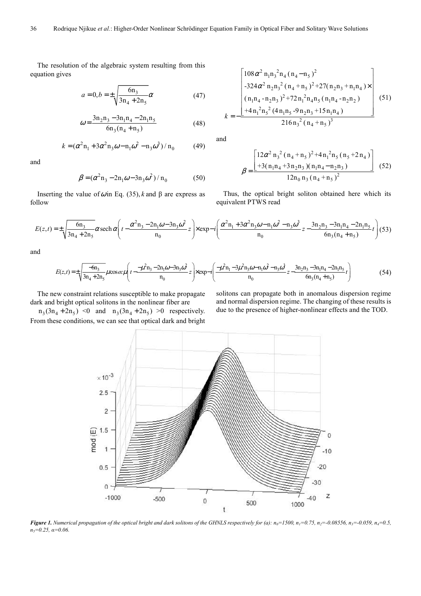The resolution of the algebraic system resulting from this equation gives

$$
a = 0, b = \pm \sqrt{\frac{6n_3}{3n_4 + 2n_5}} \alpha
$$
 (47)

$$
\omega = \frac{3n_2n_3 - 3n_1n_4 - 2n_1n_5}{6n_3(n_4 + n_5)}
$$
(48)

$$
k = (\alpha^2 n_1 + 3\alpha^2 n_3 \omega - n_1 \omega^2 - n_3 \omega^3) / n_0
$$
 (49)

and

$$
\beta = (\alpha^2 n_3 - 2n_1 \omega - 3n_3 \omega^2) / n_0
$$
 (50)

Inserting the value of  $ω$  in Eq. (35), *k* and  $β$  are express as follow

$$
k = -\frac{\left[\frac{108\alpha^2 n_1 n_3^2 n_4 (n_4 - n_5)^2}{-324\alpha^2 n_2 n_3^2 (n_4 + n_5)^2 + 27(n_2 n_3 + n_1 n_4) \times \left(n_1 n_4 - n_2 n_3\right)^2 + 72 n_1^2 n_4 n_5 (n_1 n_4 - n_2 n_2)}{+4 n_1^2 n_5^2 (4 n_1 n_5 - 9 n_2 n_3 + 15 n_1 n_4)}\right]} (51)
$$
\n
$$
k = -\frac{\left[4 n_1^2 n_5^2 (4 n_1 n_5 - 9 n_2 n_3 + 15 n_1 n_4) - 216 n_3^2 (n_4 + n_5)^3\right]}{216 n_3^2 (n_4 + n_5)^3}
$$

and

$$
\beta = \frac{\left[12\alpha^2 n_3^2 (n_4 + n_5)^2 + 4n_1^2 n_5 (n_5 + 2n_4)\right]}{12 n_0 n_3 (n_4 + n_5)^2}
$$
(52)

Thus, the optical bright soliton obtained here which its equivalent PTWS read

$$
E(z,t) = \pm \sqrt{\frac{6n_3}{3n_4 + 2n_5}} \alpha \operatorname{sech} \alpha \left( t - \frac{\alpha^2 n_3 - 2n_1 \omega - 3n_3 \omega^2}{n_0} z \right) \times \exp - i \left( \frac{\alpha^2 n_1 + 3\alpha^2 n_3 \omega - n_1 \omega^2 - n_3 \omega^3}{n_0} z - \frac{3n_2 n_3 - 3n_1 n_4 - 2n_1 n_5}{6n_3(n_4 + n_5)} t \right) (53)
$$

and

$$
E(z,t) = \pm \sqrt{\frac{-6n_3}{3n_4 + 2n_5}} \mu \cos \omega \mu \left( t - \frac{-\mu^2 n_3 - 2n_1 \omega - 3n_3 \omega^2}{n_0} z \right) \times \exp(-i \left( \frac{-\mu^2 n_1 - 3\mu^2 n_3 \omega - n_1 \omega^2 - n_3 \omega^3}{n_0} z - \frac{3n_2 n_3 - 3n_1 n_4 - 2n_1 n_5}{6n_3(n_4 + n_5)} t \right) \tag{54}
$$

The new constraint relations susceptible to make propagate dark and bright optical solitons in the nonlinear fiber are

 $n_3(3n_4 + 2n_5)$  <0 and  $n_3(3n_4 + 2n_5)$  >0 respectively. From these conditions, we can see that optical dark and bright solitons can propagate both in anomalous dispersion regime and normal dispersion regime. The changing of these results is due to the presence of higher-nonlinear effects and the TOD.



Figure 1. Numerical propagation of the optical bright and dark solitons of the GHNLS respectively for (a):  $n_0$ =1500,  $n_1$ =0.75,  $n_2$ =-0.08556,  $n_3$ =-0.059,  $n_4$ =0.5, *n5=0.25, α=0.06.*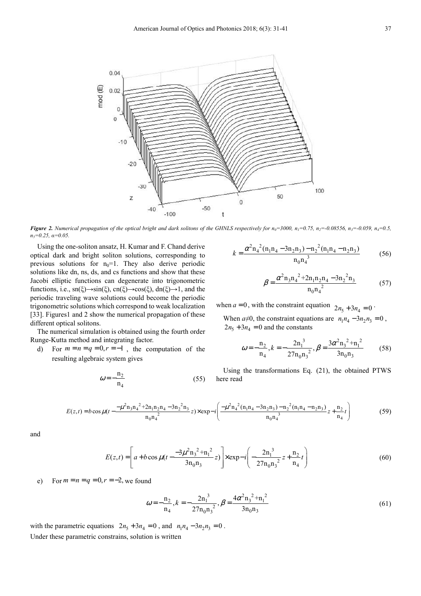

Figure 2. Numerical propagation of the optical bright and dark solitons of the GHNLS respectively for  $n_0$ =3000,  $n_1$ =0.75,  $n_2$ =-0.08556,  $n_3$ =-0.059,  $n_4$ =0.5, *n5=0.25, α=0.05.* 

Using the one-soliton ansatz, H. Kumar and F. Chand derive optical dark and bright soliton solutions, corresponding to previous solutions for  $n_0=1$ . They also derive periodic solutions like dn, ns, ds, and cs functions and show that these Jacobi elliptic functions can degenerate into trigonometric functions, i.e.,  $\text{sn}(\xi) \rightarrow \text{sin}(\xi)$ ,  $\text{cn}(\xi) \rightarrow \text{cos}(\xi)$ ,  $\text{dn}(\xi) \rightarrow 1$ , and the periodic traveling wave solutions could become the periodic trigonometric solutions which correspond to weak localization [33]. Figures1 and 2 show the numerical propagation of these different optical solitons.

The numerical simulation is obtained using the fourth order Runge-Kutta method and integrating factor.

d) For  $m = n = q = 0, r = -1$ , the computation of the resulting algebraic system gives

$$
\omega = -\frac{n_2}{n_4} \tag{55}
$$

$$
k = \frac{\alpha^2 n_4^2 (n_1 n_4 - 3 n_2 n_3) - n_2^2 (n_1 n_4 - n_2 n_3)}{n_0 n_4^3}
$$
(56)

$$
\beta = \frac{\alpha^2 n_3 n_4^2 + 2n_1 n_2 n_4 - 3n_2^2 n_3}{n_0 n_4^2}
$$
 (57)

when  $a = 0$ , with the constraint equation  $2n_5 + 3n_4 = 0$ .

When  $a\neq 0$ , the constraint equations are  $n_1 n_4 - 3 n_2 n_3 = 0$ ,  $2n_5 + 3n_4 = 0$  and the constants

$$
\omega = -\frac{n_2}{n_4}, k = -\frac{2n_1^3}{27n_0n_3^2}, \beta = \frac{3\alpha^2 n_3^2 + n_1^2}{3n_0n_3}
$$
(58)

Using the transformations Eq. (21), the obtained PTWS here read

$$
E(z,t) = b\cos\mu(t - \frac{-\mu^2 n_3 n_4^2 + 2n_1 n_2 n_4 - 3n_2^2 n_3}{n_0 n_4^2}z) \times \exp - i\left(\frac{-\mu^2 n_4^2 (n_1 n_4 - 3n_2 n_3) - n_2^2 (n_1 n_4 - n_2 n_3)}{n_0 n_4^3}z + \frac{n_2}{n_4}t\right)
$$
(59)

and

$$
E(z,t) = \left[ a + b \cos \mu \left( t - \frac{-3\mu^2 n_3^2 + n_1^2}{3n_0 n_3} z \right) \right] \times \exp{-i \left( -\frac{2n_1^3}{27n_0 n_3^2} z + \frac{n_2}{n_4} t \right)}
$$
(60)

e) For  $m = n = q = 0, r = -2$ , we found

$$
\omega = -\frac{n_2}{n_4}, k = -\frac{2n_1^3}{27n_0n_3^2}, \beta = \frac{4\alpha^2n_3^2 + n_1^2}{3n_0n_3}
$$
(61)

with the parametric equations  $2n_5 + 3n_4 = 0$ , and  $n_1n_4 - 3n_2n_3 = 0$ . Under these parametric constrains, solution is written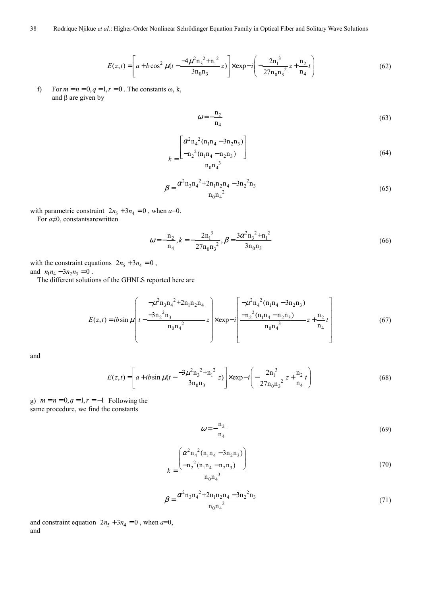$$
E(z,t) = \left[ a + b \cos^2 \mu \left( t - \frac{-4\mu^2 n_3^2 + n_1^2}{3n_0 n_3} z \right) \right] \times \exp - i \left( -\frac{2n_1^3}{27n_0 n_3^2} z + \frac{n_2}{n_4} t \right)
$$
(62)

f) For  $m = n = 0, q = 1, r = 0$ . The constants  $\omega$ , k, and β are given by

$$
\omega = -\frac{n_2}{n_4} \tag{63}
$$

$$
k = \frac{\left[\alpha^2 n_4{}^2 (n_1 n_4 - 3n_2 n_3)\right]}{n_1 n_4{}^3}
$$
\n(64)

$$
\beta = \frac{\alpha^2 n_3 n_4^2 + 2n_1 n_2 n_4 - 3n_2^2 n_3}{n_0 n_4^2}
$$
\n(65)

with parametric constraint  $2n_5 + 3n_4 = 0$ , when  $a=0$ .

For *a*≠0, constantsarewritten

$$
\omega = -\frac{n_2}{n_4}, k = -\frac{2n_1^3}{27n_0n_3^2}, \beta = \frac{3\alpha^2n_3^2 + n_1^2}{3n_0n_3}
$$
\n(66)

with the constraint equations  $2n_5 + 3n_4 = 0$ , and  $n_1 n_4 - 3 n_2 n_3 = 0$ .

The different solutions of the GHNLS reported here are

$$
E(z,t) = ib \sin \mu \left( t - \frac{-\mu^2 n_3 n_4^2 + 2n_1 n_2 n_4}{n_0 n_4^2} \right) \times \exp{-i \left[ \frac{-\mu^2 n_4^2 (n_1 n_4 - 3n_2 n_3)}{n_0 n_4^3} z + \frac{n_2}{n_4} t \right]}
$$
(67)

and

$$
E(z,t) = \left[ a + ib \sin \mu \left( t - \frac{-3\mu^2 n_3^2 + n_1^2}{3n_0 n_3} z \right) \right] \times \exp - i \left( -\frac{2n_1^3}{27n_0 n_3^2} z + \frac{n_2}{n_4} t \right)
$$
(68)

g)  $m = n = 0, q = 1, r = -1$  Following the same procedure, we find the constants

$$
\omega = -\frac{n_2}{n_4} \tag{69}
$$

$$
k = \frac{\left(\alpha^2 n_4^2 (n_1 n_4 - 3n_2 n_3)\right)}{n_1 n_4}
$$
\n(70)

$$
\beta = \frac{\alpha^2 n_3 n_4^2 + 2n_1 n_2 n_4 - 3n_2^2 n_3}{n_0 n_4^2}
$$
\n(71)

and constraint equation  $2n_5 + 3n_4 = 0$ , when  $a=0$ , and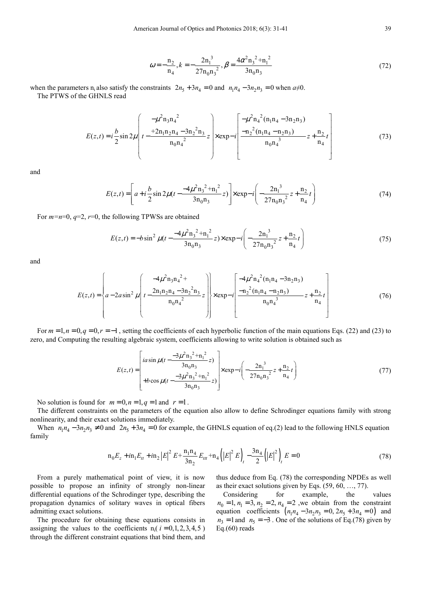$$
\omega = -\frac{n_2}{n_4}, k = -\frac{2n_1^3}{27n_0n_3^2}, \beta = \frac{4\alpha^2 n_3^2 + n_1^2}{3n_0n_3}
$$
(72)

when the parameters n<sub>i</sub> also satisfy the constraints  $2n_5 + 3n_4 = 0$  and  $n_1n_4 - 3n_2n_3 = 0$  when  $a \neq 0$ . The PTWS of the GHNLS read

$$
E(z,t) = i\frac{b}{2}\sin 2\mu \left( t - \frac{\mu^2 n_3 n_4^2}{n_0 n_4^2} z \right) \times \exp{-i\left[ \frac{-\mu^2 n_4^2 (n_1 n_4 - 3n_2 n_3)}{n_0 n_4^3} z + \frac{n_2}{n_4} t \right]}
$$
(73)

and

$$
E(z,t) = \left[ a + i \frac{b}{2} \sin 2\mu (t - \frac{-4\mu^2 n_3^2 + n_1^2}{3n_0 n_3} z) \right] \times \exp{-i \left( -\frac{2n_1^3}{27n_0 n_3^2} z + \frac{n_2}{n_4} t \right)}
$$
(74)

For  $m=n=0$ ,  $q=2$ ,  $r=0$ , the following TPWSs are obtained

$$
E(z,t) = -b\sin^2\mu(t - \frac{-4\mu^2 n_3^2 + n_1^2}{3n_0 n_3}z) \times \exp - i\left(-\frac{2n_1^3}{27n_0 n_3^2}z + \frac{n_2}{n_4}t\right)
$$
(75)

and

$$
E(z,t) = \left\{ a - 2a \sin^2 \mu \left( t - \frac{4\mu^2 n_3 n_4^{2+}}{n_0 n_4^{2}} z \right) \right\} \times \exp{-i \left[ \frac{-4\mu^2 n_4^{2} (n_1 n_4 - 3n_2 n_3)}{n_0 n_4^{3}} z + \frac{n_2}{n_4} t \right]}
$$
(76)

For  $m = 1, n = 0, q = 0, r = -1$ , setting the coefficients of each hyperbolic function of the main equations Eqs. (22) and (23) to zero, and Computing the resulting algebraic system, coefficients allowing to write solution is obtained such as

$$
E(z,t) = \begin{bmatrix} i a \sin \mu (t - \frac{-3\mu^2 n_3^2 + n_1^2}{3n_0 n_3} z) \\ + b \cos \mu (t - \frac{-3\mu^2 n_3^2 + n_1^2}{3n_0 n_3} z) \end{bmatrix} \times \exp{-i\left(-\frac{2n_1^3}{27n_0 n_3^2} z + \frac{n_2}{n_4} t\right)}
$$
(77)

No solution is found for  $m = 0, n = 1, q = 1$  and  $r = 1$ .

The different constraints on the parameters of the equation also allow to define Schrodinger equations family with strong nonlinearity, and their exact solutions immediately.

When  $n_1 n_4 - 3 n_2 n_3 \neq 0$  and  $2 n_5 + 3 n_4 = 0$  for example, the GHNLS equation of eq.(2) lead to the following HNLS equation family

$$
n_0 E_z + i n_1 E_{tt} + i n_2 |E|^2 E + \frac{n_1 n_4}{3 n_2} E_{ttt} + n_4 (|E|^2 E)_t - \frac{3 n_4}{2} (|E|^2)_t E = 0
$$
\n(78)

From a purely mathematical point of view, it is now possible to propose an infinity of strongly non-linear differential equations of the Schrodinger type, describing the propagation dynamics of solitary waves in optical fibers admitting exact solutions.

The procedure for obtaining these equations consists in assigning the values to the coefficients  $n_i$  ( $i = 0, 1, 2, 3, 4, 5$ ) through the different constraint equations that bind them, and thus deduce from Eq. (78) the corresponding NPDEs as well as their exact solutions given by Eqs. (59, 60, …, 77).

Considering for example, the values  $n_0 = 1$ ,  $n_1 = 3$ ,  $n_2 = 2$ ,  $n_4 = 2$ , we obtain from the constraint equation coefficients  $(n_1 n_4 - 3 n_2 n_3 = 0, 2 n_5 + 3 n_4 = 0)$  and  $n_3 = 1$  and  $n_5 = -3$ . One of the solutions of Eq.(78) given by Eq.(60) reads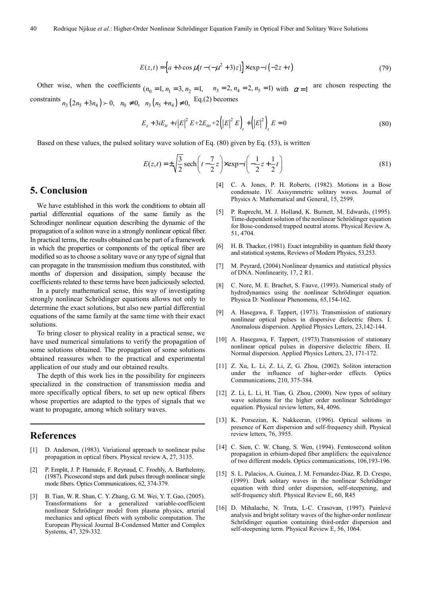$$
E(z,t) = \left\{ a + b \cos \mu [t - (-\mu^2 + 3)z] \right\} \times \exp{-i(-2z + t)}
$$
(79)

Other wise, when the coefficients  $(n_0 = 1, n_1 = 3, n_2 = 1, n_3 = 2, n_4 = 2, n_5 = 1)$  with  $\alpha = 1$  are chosen respecting the constraints  $n_3$  (2 $n_5$  + 3 $n_4$ ) > 0,  $n_0 \neq 0$ ,  $n_3$  ( $n_5$  +  $n_4$ )  $\neq 0$ , Eq.(2) becomes

$$
E_z + 3iE_{tt} + i|E|^2 E + 2E_{tt} + 2(|E|^2 E)_t + (|E|^2)_t E = 0
$$
\n(80)

Based on these values, the pulsed solitary wave solution of Eq. (80) given by Eq. (53), is written

$$
E(z,t) = \pm \sqrt{\frac{3}{2}} \operatorname{sech}\left(t - \frac{7}{2}z\right) \times \exp\left(-\frac{1}{2}z + \frac{1}{2}t\right)
$$
(81)

#### **5. Conclusion**

We have established in this work the conditions to obtain all partial differential equations of the same family as the Schrodinger nonlinear equation describing the dynamic of the propagation of a soliton wave in a strongly nonlinear optical fiber. In practical terms, the results obtained can be part of a framework in which the properties or components of the optical fiber are modified so as to choose a solitary wave or any type of signal that can propagate in the transmission medium thus constituted, with months of dispersion and dissipation, simply because the coefficients related to these terms have been judiciously selected.

In a purely mathematical sense, this way of investigating strongly nonlinear Schrödinger equations allows not only to determine the exact solutions, but also new partial differential equations of the same family at the same time with their exact solutions.

To bring closer to physical reality in a practical sense, we have used numerical simulations to verify the propagation of some solutions obtained. The propagation of some solutions obtained reassures when to the practical and experimental application of our study and our obtained results.

The depth of this work lies in the possibility for engineers specialized in the construction of transmission media and more specifically optical fibers, to set up new optical fibers whose properties are adapted to the types of signals that we want to propagate, among which solitary waves.

### **References**

- [1] D. Anderson, (1983). Variational approach to nonlinear pulse propagation in optical fibers. Physical review A, 27, 3135.
- [2] P. Emplit, J. P. Hamaide, F. Reynaud, C. Froehly, A. Barthelemy, (1987). Picosecond steps and dark pulses through nonlinear single mode fibers. Optics Communications, 62, 374-379.
- [3] B. Tian, W. R. Shan, C. Y. Zhang, G. M. Wei, Y. T. Gao, (2005). Transformations for a generalized variable-coefficient nonlinear Schrödinger model from plasma physics, arterial mechanics and optical fibers with symbolic computation. The European Physical Journal B-Condensed Matter and Complex Systems, 47, 329-332.
- [4] C. A. Jones, P. H. Roberts, (1982). Motions in a Bose condensate. IV. Axisymmetric solitary waves. Journal of Physics A: Mathematical and General, 15, 2599.
- [5] P. Ruprecht, M. J. Holland, K. Burnett, M. Edwards, (1995). Time-dependent solution of the nonlinear Schrödinger equation for Bose-condensed trapped neutral atoms. Physical Review A, 51, 4704.
- [6] H. B. Thacker, (1981). Exact integrability in quantum field theory and statistical systems, Reviews of Modern Physics, 53,253.
- [7] M. Peyrard, (2004). Nonlinear dynamics and statistical physics of DNA. Nonlinearity, 17, 2 R1.
- [8] C. Nore, M. E. Brachet, S. Fauve, (1993). Numerical study of hydrodynamics using the nonlinear Schrödinger equation. Physica D: Nonlinear Phenomena, 65,154-162.
- [9] A. Hasegawa, F. Tappert, (1973). Transmission of stationary nonlinear optical pulses in dispersive dielectric fibers. I. Anomalous dispersion. Applied Physics Letters, 23,142-144.
- [10] A. Hasegawa, F. Tappert, (1973). Transmission of stationary nonlinear optical pulses in dispersive dielectric fibers. II. Normal dispersion. Applied Physics Letters, 23, 171-172.
- [11] Z. Xu, L. Li, Z. Li, Z, G. Zhou, (2002). Soliton interaction under the influence of higher-order effects. Optics Communications, 210, 375-384.
- [12] Z. Li, L. Li, H. Tian, G. Zhou, (2000). New types of solitary wave solutions for the higher order nonlinear Schrödinger equation. Physical review letters, 84, 4096.
- [13] K. Porsezian, K. Nakkeeran, (1996). Optical solitons in presence of Kerr dispersion and self-frequency shift. Physical review letters, 76, 3955.
- [14] C. Sien, C. W. Chang, S. Wen, (1994). Femtosecond soliton propagation in erbium-doped fiber amplifiers: the equivalence of two different models. Optics communications, 106,193-196.
- [15] S. L. Palacios, A. Guinea, J. M. Fernandez-Diaz, R. D. Crespo, (1999). Dark solitary waves in the nonlinear Schrödinger equation with third order dispersion, self-steepening, and self-frequency shift. Physical Review E, 60, R45
- [16] D. Mihalache, N. Truta, L-C. Crasovan, (1997). Painlevé analysis and bright solitary waves of the higher-order nonlinear Schrödinger equation containing third-order dispersion and self-steepening term. Physical Review E, 56, 1064.